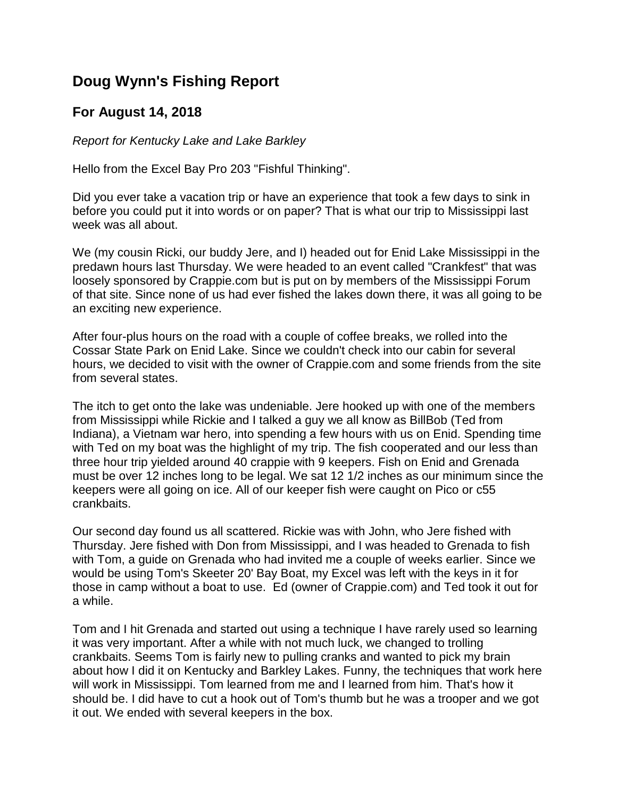## **Doug Wynn's Fishing Report**

## **For August 14, 2018**

*Report for Kentucky Lake and Lake Barkley*

Hello from the Excel Bay Pro 203 "Fishful Thinking".

Did you ever take a vacation trip or have an experience that took a few days to sink in before you could put it into words or on paper? That is what our trip to Mississippi last week was all about.

We (my cousin Ricki, our buddy Jere, and I) headed out for Enid Lake Mississippi in the predawn hours last Thursday. We were headed to an event called "Crankfest" that was loosely sponsored by Crappie.com but is put on by members of the Mississippi Forum of that site. Since none of us had ever fished the lakes down there, it was all going to be an exciting new experience.

After four-plus hours on the road with a couple of coffee breaks, we rolled into the Cossar State Park on Enid Lake. Since we couldn't check into our cabin for several hours, we decided to visit with the owner of Crappie.com and some friends from the site from several states.

The itch to get onto the lake was undeniable. Jere hooked up with one of the members from Mississippi while Rickie and I talked a guy we all know as BillBob (Ted from Indiana), a Vietnam war hero, into spending a few hours with us on Enid. Spending time with Ted on my boat was the highlight of my trip. The fish cooperated and our less than three hour trip yielded around 40 crappie with 9 keepers. Fish on Enid and Grenada must be over 12 inches long to be legal. We sat 12 1/2 inches as our minimum since the keepers were all going on ice. All of our keeper fish were caught on Pico or c55 crankbaits.

Our second day found us all scattered. Rickie was with John, who Jere fished with Thursday. Jere fished with Don from Mississippi, and I was headed to Grenada to fish with Tom, a guide on Grenada who had invited me a couple of weeks earlier. Since we would be using Tom's Skeeter 20' Bay Boat, my Excel was left with the keys in it for those in camp without a boat to use. Ed (owner of Crappie.com) and Ted took it out for a while.

Tom and I hit Grenada and started out using a technique I have rarely used so learning it was very important. After a while with not much luck, we changed to trolling crankbaits. Seems Tom is fairly new to pulling cranks and wanted to pick my brain about how I did it on Kentucky and Barkley Lakes. Funny, the techniques that work here will work in Mississippi. Tom learned from me and I learned from him. That's how it should be. I did have to cut a hook out of Tom's thumb but he was a trooper and we got it out. We ended with several keepers in the box.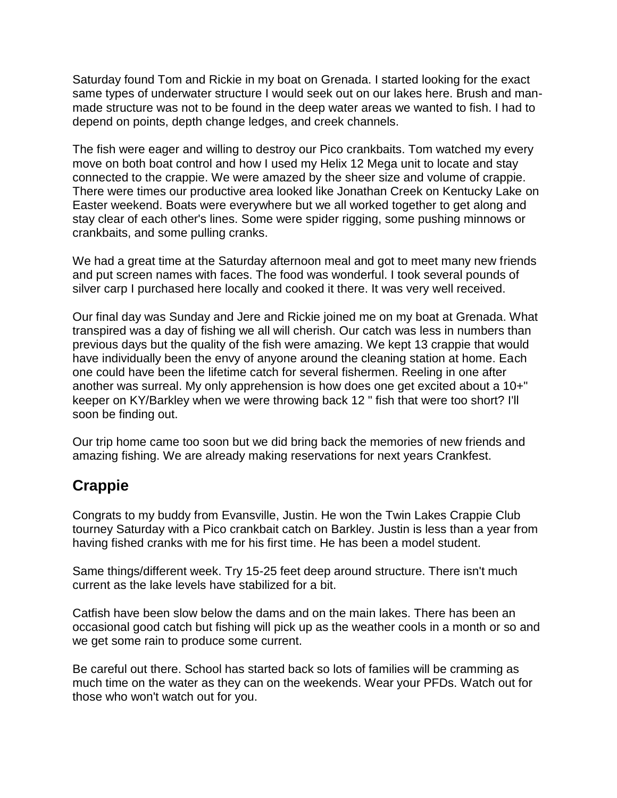Saturday found Tom and Rickie in my boat on Grenada. I started looking for the exact same types of underwater structure I would seek out on our lakes here. Brush and manmade structure was not to be found in the deep water areas we wanted to fish. I had to depend on points, depth change ledges, and creek channels.

The fish were eager and willing to destroy our Pico crankbaits. Tom watched my every move on both boat control and how I used my Helix 12 Mega unit to locate and stay connected to the crappie. We were amazed by the sheer size and volume of crappie. There were times our productive area looked like Jonathan Creek on Kentucky Lake on Easter weekend. Boats were everywhere but we all worked together to get along and stay clear of each other's lines. Some were spider rigging, some pushing minnows or crankbaits, and some pulling cranks.

We had a great time at the Saturday afternoon meal and got to meet many new friends and put screen names with faces. The food was wonderful. I took several pounds of silver carp I purchased here locally and cooked it there. It was very well received.

Our final day was Sunday and Jere and Rickie joined me on my boat at Grenada. What transpired was a day of fishing we all will cherish. Our catch was less in numbers than previous days but the quality of the fish were amazing. We kept 13 crappie that would have individually been the envy of anyone around the cleaning station at home. Each one could have been the lifetime catch for several fishermen. Reeling in one after another was surreal. My only apprehension is how does one get excited about a 10+" keeper on KY/Barkley when we were throwing back 12 " fish that were too short? I'll soon be finding out.

Our trip home came too soon but we did bring back the memories of new friends and amazing fishing. We are already making reservations for next years Crankfest.

## **Crappie**

Congrats to my buddy from Evansville, Justin. He won the Twin Lakes Crappie Club tourney Saturday with a Pico crankbait catch on Barkley. Justin is less than a year from having fished cranks with me for his first time. He has been a model student.

Same things/different week. Try 15-25 feet deep around structure. There isn't much current as the lake levels have stabilized for a bit.

Catfish have been slow below the dams and on the main lakes. There has been an occasional good catch but fishing will pick up as the weather cools in a month or so and we get some rain to produce some current.

Be careful out there. School has started back so lots of families will be cramming as much time on the water as they can on the weekends. Wear your PFDs. Watch out for those who won't watch out for you.